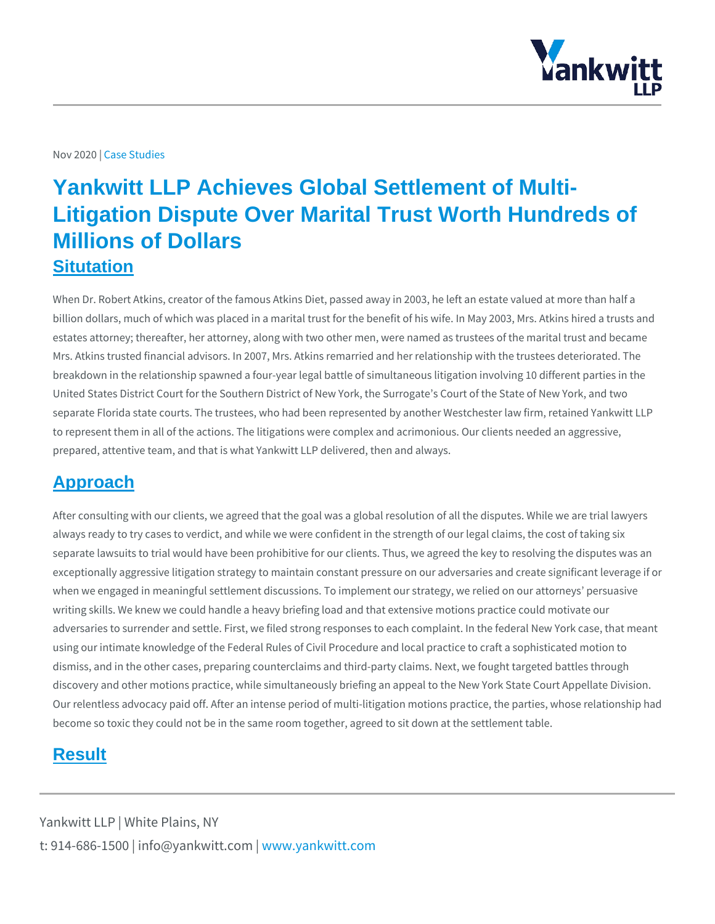## Nov 20229sb Studies

## Yankwitt LLP Achieves Global Settlement of Multi-Litigation Dispute Over Marital Trust Worth Hundreds of Millions of Dollars **Situtation**

When Dr. Robert Atkins, creator of the famous Atkins Diet, passed away in 2003, billion dollars, much of which was placed in a marital trust for the benefit of his estates attorney; thereafter, her attorney, along with two other men, were named Mrs. Atkins trusted financial advisors. In 2007, Mrs. Atkins remarried and her re breakdown in the relationship spawned a four-year legal battle of simultaneous I United States District Court for the Southern District of New York, the Surrogate separate Florida state courts. The trustees, who had been represented by anothe to represent them in all of the actions. The litigations were complex and acrimon prepared, attentive team, and that is what Yankwitt LLP delivered, then and alwa

## Approach

After consulting with our clients, we agreed that the goal was a global resolutior always ready to try cases to verdict, and while we were confident in the strength separate lawsuits to trial would have been prohibitive for our clients. Thus, we a exceptionally aggressive litigation strategy to maintain constant pressure on our when we engaged in meaningful settlement discussions. To implement our strateg writing skills. We knew we could handle a heavy briefing load and that extensive adversaries to surrender and settle. First, we filed strong responses to each com using our intimate knowledge of the Federal Rules of Civil Procedure and local p dismiss, and in the other cases, preparing counterclaims and third-party claims. discovery and other motions practice, while simultaneously briefing an appeal to Our relentless advocacy paid off. After an intense period of multi-litigation motion become so toxic they could not be in the same room together, agreed to sit down

## Result

Yankwitt LLP | White Plains, NY t:  $914 - 686 - 1500$  | info@y wawn ky wom intit wo interport of m